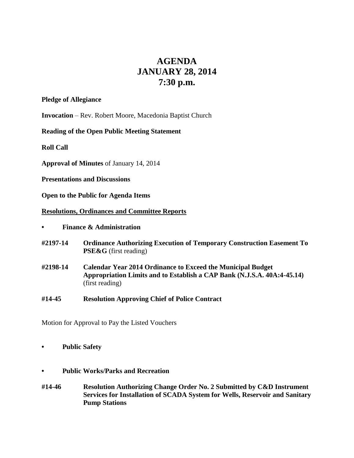# **AGENDA JANUARY 28, 2014 7:30 p.m.**

## **Pledge of Allegiance**

**Invocation** – Rev. Robert Moore, Macedonia Baptist Church

## **Reading of the Open Public Meeting Statement**

**Roll Call**

**Approval of Minutes** of January 14, 2014

**Presentations and Discussions**

**Open to the Public for Agenda Items**

## **Resolutions, Ordinances and Committee Reports**

- **• Finance & Administration**
- **#2197-14 Ordinance Authorizing Execution of Temporary Construction Easement To PSE&G** (first reading)
- **#2198-14 Calendar Year 2014 Ordinance to Exceed the Municipal Budget Appropriation Limits and to Establish a CAP Bank (N.J.S.A. 40A:4-45.14)** (first reading)
- **#14-45 Resolution Approving Chief of Police Contract**

Motion for Approval to Pay the Listed Vouchers

- **• Public Safety**
- **• Public Works/Parks and Recreation**
- **#14-46 Resolution Authorizing Change Order No. 2 Submitted by C&D Instrument Services for Installation of SCADA System for Wells, Reservoir and Sanitary Pump Stations**